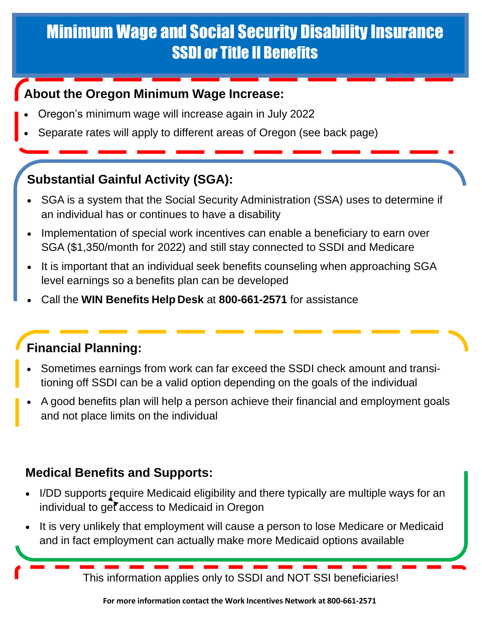## Minimum Wage and Social Security Disability Insurance SSDI or Title II Benefits

#### **About the Oregon Minimum Wage Increase:**

- Oregon's minimum wage will increase again in July 2022
- Separate rates will apply to different areas of Oregon (see back page)

### **Substantial Gainful Activity (SGA):**

- SGA is a system that the Social Security Administration (SSA) uses to determine if an individual has or continues to have a disability
- Implementation of special work incentives can enable a beneficiary to earn over SGA (\$1,350/month for 2022) and still stay connected to SSDI and Medicare
- It is important that an individual seek benefits counseling when approaching SGA level earnings so a benefits plan can be developed
- Call the **WIN Benefits Help Desk** at **800-661-2571** for assistance

#### **Financial Planning:**

- Sometimes earnings from work can far exceed the SSDI check amount and transitioning off SSDI can be a valid option depending on the goals of the individual
- A good benefits plan will help a person achieve their financial and employment goals and not place limits on the individual

#### **Medical Benefits and Supports:**

- I/DD supports require Medicaid eligibility and there typically are multiple ways for an individual to get access to Medicaid in Oregon
- It is very unlikely that employment will cause a person to lose Medicare or Medicaid and in fact employment can actually make more Medicaid options available

This information applies only to SSDI and NOT SSI beneficiaries!